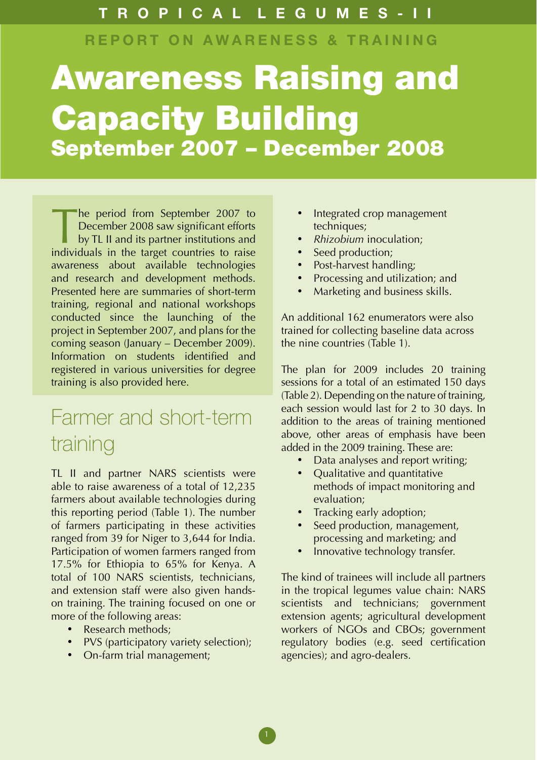### T R O P I C A L L E G U M E S - I I

REPORT ON AWARENESS & TRAINING

# Awareness Raising and Capacity Building September 2007 – December 2008

The period from September 2007 to<br>December 2008 saw significant efforts<br>by TL II and its partner institutions and<br>individuals in the target countries to raise December 2008 saw significant efforts by TL II and its partner institutions and individuals in the target countries to raise awareness about available technologies and research and development methods. Presented here are summaries of short-term training, regional and national workshops conducted since the launching of the project in September 2007, and plans for the coming season (January – December 2009). Information on students identified and registered in various universities for degree training is also provided here.

### Farmer and short-term training

TL II and partner NARS scientists were able to raise awareness of a total of 12,235 farmers about available technologies during this reporting period (Table 1). The number of farmers participating in these activities ranged from 39 for Niger to 3,644 for India. Participation of women farmers ranged from 17.5% for Ethiopia to 65% for Kenya. A total of 100 NARS scientists, technicians, and extension staff were also given handson training. The training focused on one or more of the following areas:

- Research methods:
- PVS (participatory variety selection);
- On-farm trial management;
- Integrated crop management techniques;
- • *Rhizobium* inoculation;
- Seed production;
- Post-harvest handling;
- Processing and utilization; and
- Marketing and business skills.

An additional 162 enumerators were also trained for collecting baseline data across the nine countries (Table 1).

The plan for 2009 includes 20 training sessions for a total of an estimated 150 days (Table 2). Depending on the nature of training, each session would last for 2 to 30 days. In addition to the areas of training mentioned above, other areas of emphasis have been added in the 2009 training. These are:

- Data analyses and report writing;
- Qualitative and quantitative methods of impact monitoring and evaluation;
- Tracking early adoption;
- Seed production, management, processing and marketing; and
- Innovative technology transfer.

The kind of trainees will include all partners in the tropical legumes value chain: NARS scientists and technicians; government extension agents; agricultural development workers of NGOs and CBOs; government regulatory bodies (e.g. seed certification agencies); and agro-dealers.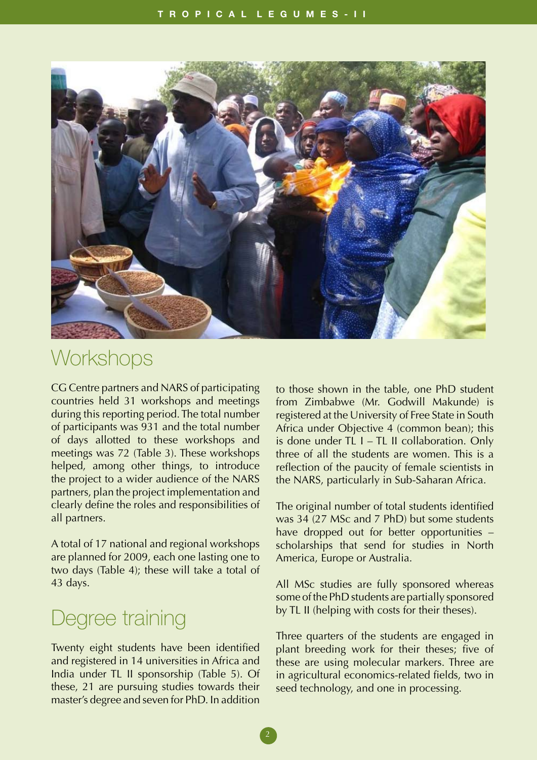

### **Workshops**

CG Centre partners and NARS of participating countries held 31 workshops and meetings during this reporting period. The total number of participants was 931 and the total number of days allotted to these workshops and meetings was 72 (Table 3). These workshops helped, among other things, to introduce the project to a wider audience of the NARS partners, plan the project implementation and clearly define the roles and responsibilities of all partners.

A total of 17 national and regional workshops are planned for 2009, each one lasting one to two days (Table 4); these will take a total of 43 days.

### Degree training

Twenty eight students have been identified and registered in 14 universities in Africa and India under TL II sponsorship (Table 5). Of these, 21 are pursuing studies towards their master's degree and seven for PhD. In addition

to those shown in the table, one PhD student from Zimbabwe (Mr. Godwill Makunde) is registered at the University of Free State in South Africa under Objective 4 (common bean); this is done under TL I – TL II collaboration. Only three of all the students are women. This is a reflection of the paucity of female scientists in the NARS, particularly in Sub-Saharan Africa.

The original number of total students identified was 34 (27 MSc and 7 PhD) but some students have dropped out for better opportunities – scholarships that send for studies in North America, Europe or Australia.

All MSc studies are fully sponsored whereas some of the PhD students are partially sponsored by TL II (helping with costs for their theses).

Three quarters of the students are engaged in plant breeding work for their theses; five of these are using molecular markers. Three are in agricultural economics-related fields, two in seed technology, and one in processing.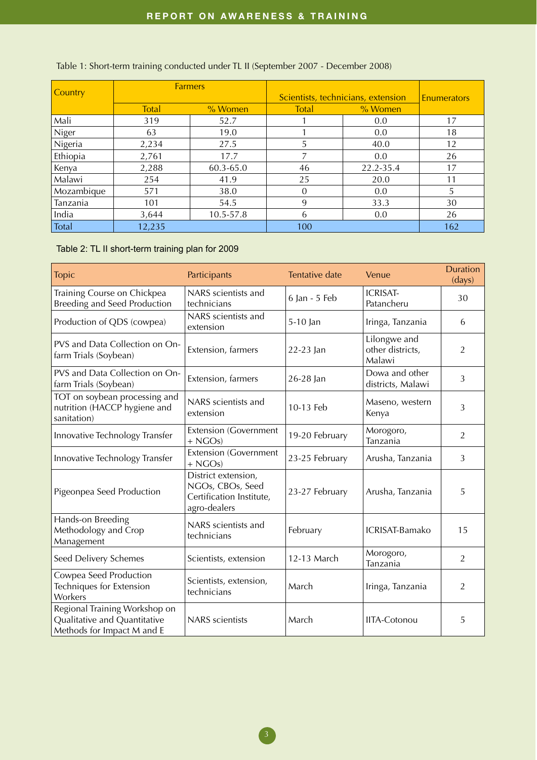| <b>Country</b> | <b>Farmers</b> |            | Scientists, technicians, extension | <b>Enumerators</b> |     |
|----------------|----------------|------------|------------------------------------|--------------------|-----|
|                | <b>Total</b>   | $\%$ Women | Total                              | % Women            |     |
| Mali           | 319            | 52.7       |                                    | 0.0                | 17  |
| Niger          | 63             | 19.0       |                                    | 0.0                | 18  |
| Nigeria        | 2,234          | 27.5       | 5                                  | 40.0               | 12  |
| Ethiopia       | 2,761          | 17.7       | 7                                  | 0.0                | 26  |
| Kenya          | 2,288          | 60.3-65.0  | 46                                 | 22.2-35.4          | 17  |
| Malawi         | 254            | 41.9       | 25                                 | 20.0               | 11  |
| Mozambique     | 571            | 38.0       | $\Omega$                           | 0.0                | 5   |
| Tanzania       | 101            | 54.5       | 9                                  | 33.3               | 30  |
| India          | 3,644          | 10.5-57.8  | 6                                  | 0.0                | 26  |
| Total          | 12,235         |            | 100                                |                    | 162 |

Table 1: Short-term training conducted under TL II (September 2007 - December 2008)

#### Table 2: TL II short-term training plan for 2009

| <b>Topic</b>                                                                                | Participants                                                                        | <b>Tentative date</b> | Venue                                      | <b>Duration</b><br>(days) |
|---------------------------------------------------------------------------------------------|-------------------------------------------------------------------------------------|-----------------------|--------------------------------------------|---------------------------|
| Training Course on Chickpea<br><b>Breeding and Seed Production</b>                          | NARS scientists and<br>technicians                                                  | 6 Jan - 5 Feb         | <b>ICRISAT-</b><br>Patancheru              | 30                        |
| Production of QDS (cowpea)                                                                  | NARS scientists and<br>extension                                                    | 5-10 Jan              | Iringa, Tanzania                           | 6                         |
| PVS and Data Collection on On-<br>farm Trials (Soybean)                                     | Extension, farmers                                                                  | 22-23 Jan             | Lilongwe and<br>other districts,<br>Malawi | $\overline{2}$            |
| PVS and Data Collection on On-<br>farm Trials (Soybean)                                     | Extension, farmers                                                                  | 26-28 Jan             | Dowa and other<br>districts, Malawi        | 3                         |
| TOT on soybean processing and<br>nutrition (HACCP hygiene and<br>sanitation)                | NARS scientists and<br>extension                                                    | 10-13 Feb             | Maseno, western<br>Kenya                   | 3                         |
| Innovative Technology Transfer                                                              | <b>Extension (Government</b><br>$+ NGOs)$                                           | 19-20 February        | Morogoro,<br>Tanzania                      | 2                         |
| Innovative Technology Transfer                                                              | <b>Extension (Government</b><br>$+ NGOs$                                            | 23-25 February        | Arusha, Tanzania                           | 3                         |
| Pigeonpea Seed Production                                                                   | District extension,<br>NGOs, CBOs, Seed<br>Certification Institute,<br>agro-dealers | 23-27 February        | Arusha, Tanzania                           | 5                         |
| Hands-on Breeding<br>Methodology and Crop<br>Management                                     | NARS scientists and<br>technicians                                                  | February              | ICRISAT-Bamako                             | 15                        |
| Seed Delivery Schemes                                                                       | Scientists, extension                                                               | 12-13 March           | Morogoro,<br>Tanzania                      | $\overline{2}$            |
| Cowpea Seed Production<br>Techniques for Extension<br>Workers                               | Scientists, extension,<br>technicians                                               | March                 | Iringa, Tanzania                           | 2                         |
| Regional Training Workshop on<br>Qualitative and Quantitative<br>Methods for Impact M and E | <b>NARS</b> scientists                                                              | March                 | <b>IITA-Cotonou</b>                        | 5                         |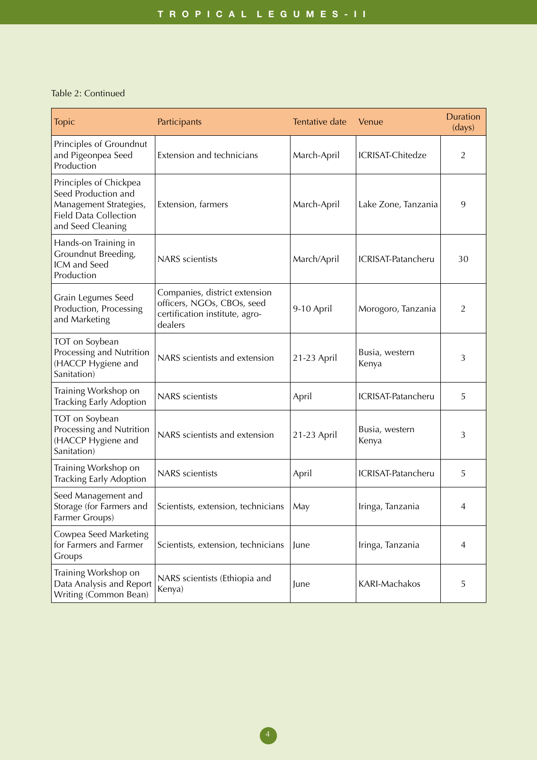#### Table 2: Continued

| <b>Topic</b>                                                                                                                 | Participants                                                                                             | Tentative date | Venue                   | <b>Duration</b><br>(days) |
|------------------------------------------------------------------------------------------------------------------------------|----------------------------------------------------------------------------------------------------------|----------------|-------------------------|---------------------------|
| Principles of Groundnut<br>and Pigeonpea Seed<br>Production                                                                  | Extension and technicians                                                                                | March-April    | <b>ICRISAT-Chitedze</b> | $\overline{2}$            |
| Principles of Chickpea<br>Seed Production and<br>Management Strategies,<br><b>Field Data Collection</b><br>and Seed Cleaning | Extension, farmers                                                                                       | March-April    | Lake Zone, Tanzania     | 9                         |
| Hands-on Training in<br>Groundnut Breeding,<br>ICM and Seed<br>Production                                                    | <b>NARS</b> scientists                                                                                   | March/April    | ICRISAT-Patancheru      | 30                        |
| Grain Legumes Seed<br>Production, Processing<br>and Marketing                                                                | Companies, district extension<br>officers, NGOs, CBOs, seed<br>certification institute, agro-<br>dealers | 9-10 April     | Morogoro, Tanzania      | 2                         |
| TOT on Soybean<br>Processing and Nutrition<br>(HACCP Hygiene and<br>Sanitation)                                              | NARS scientists and extension                                                                            | 21-23 April    | Busia, western<br>Kenya | 3                         |
| Training Workshop on<br>Tracking Early Adoption                                                                              | <b>NARS</b> scientists                                                                                   | April          | ICRISAT-Patancheru      | 5                         |
| TOT on Soybean<br>Processing and Nutrition<br>(HACCP Hygiene and<br>Sanitation)                                              | NARS scientists and extension                                                                            | 21-23 April    | Busia, western<br>Kenya | 3                         |
| Training Workshop on<br>Tracking Early Adoption                                                                              | <b>NARS</b> scientists                                                                                   | April          | ICRISAT-Patancheru      | 5                         |
| Seed Management and<br>Storage (for Farmers and<br>Farmer Groups)                                                            | Scientists, extension, technicians                                                                       | May            | Iringa, Tanzania        | 4                         |
| Cowpea Seed Marketing<br>for Farmers and Farmer<br>Groups                                                                    | Scientists, extension, technicians                                                                       | June           | Iringa, Tanzania        | 4                         |
| Training Workshop on<br>Data Analysis and Report<br>Writing (Common Bean)                                                    | NARS scientists (Ethiopia and<br>Kenya)                                                                  | June           | KARI-Machakos           | 5                         |

 $\left(4\right)$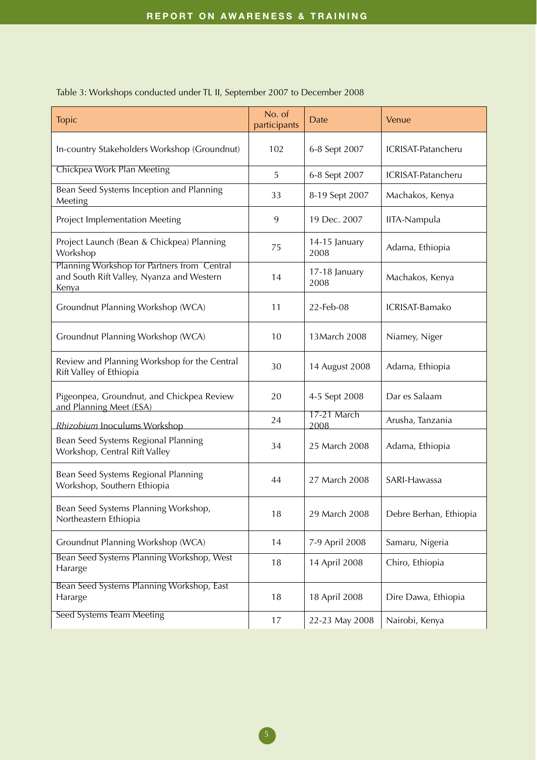| <b>Topic</b>                                                                                             | No. of<br>participants | <b>Date</b>           | Venue                  |
|----------------------------------------------------------------------------------------------------------|------------------------|-----------------------|------------------------|
| In-country Stakeholders Workshop (Groundnut)                                                             | 102                    | 6-8 Sept 2007         | ICRISAT-Patancheru     |
| Chickpea Work Plan Meeting                                                                               | 5                      | 6-8 Sept 2007         | ICRISAT-Patancheru     |
| Bean Seed Systems Inception and Planning<br>Meeting                                                      | 33                     | 8-19 Sept 2007        | Machakos, Kenya        |
| Project Implementation Meeting                                                                           | 9                      | 19 Dec. 2007          | IITA-Nampula           |
| Project Launch (Bean & Chickpea) Planning<br>Workshop                                                    | 75                     | 14-15 January<br>2008 | Adama, Ethiopia        |
| Planning Workshop for Partners from Central<br>and South Rift Valley, Nyanza and Western<br><b>Kenya</b> | 14                     | 17-18 January<br>2008 | Machakos, Kenya        |
| Groundnut Planning Workshop (WCA)                                                                        | 11                     | 22-Feb-08             | ICRISAT-Bamako         |
| Groundnut Planning Workshop (WCA)                                                                        | 10                     | 13 March 2008         | Niamey, Niger          |
| Review and Planning Workshop for the Central<br>Rift Valley of Ethiopia                                  | 30                     | 14 August 2008        | Adama, Ethiopia        |
| Pigeonpea, Groundnut, and Chickpea Review<br>and Planning Meet (ESA)                                     | 20                     | 4-5 Sept 2008         | Dar es Salaam          |
| Rhizobium Inoculums Workshop                                                                             | 24                     | 17-21 March<br>2008   | Arusha, Tanzania       |
| Bean Seed Systems Regional Planning<br>Workshop, Central Rift Valley                                     | 34                     | 25 March 2008         | Adama, Ethiopia        |
| Bean Seed Systems Regional Planning<br>Workshop, Southern Ethiopia                                       | 44                     | 27 March 2008         | SARI-Hawassa           |
| Bean Seed Systems Planning Workshop,<br>Northeastern Ethiopia                                            | 18                     | 29 March 2008         | Debre Berhan, Ethiopia |
| Groundnut Planning Workshop (WCA)                                                                        | 14                     | 7-9 April 2008        | Samaru, Nigeria        |
| Bean Seed Systems Planning Workshop, West<br>Hararge                                                     | 18                     | 14 April 2008         | Chiro, Ethiopia        |
| Bean Seed Systems Planning Workshop, East<br>Hararge                                                     | 18                     | 18 April 2008         | Dire Dawa, Ethiopia    |
| Seed Systems Team Meeting                                                                                | 17                     | 22-23 May 2008        | Nairobi, Kenya         |

#### Table 3: Workshops conducted under TL II, September 2007 to December 2008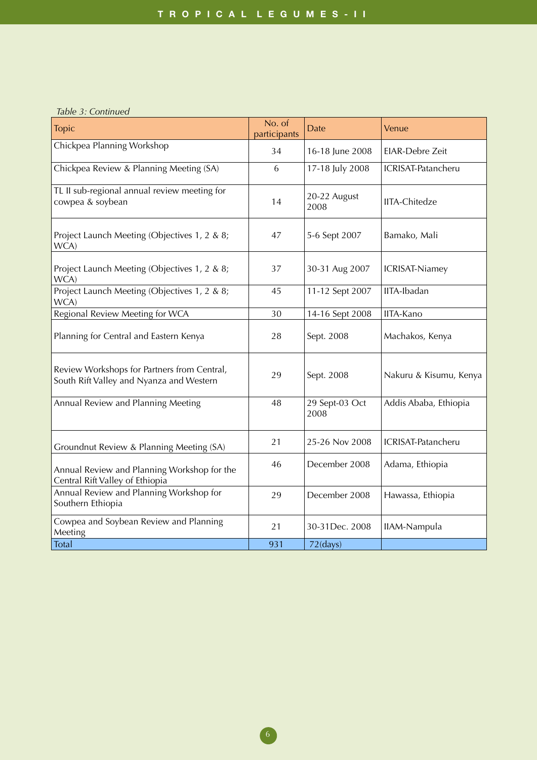#### *Table 3: Continued*

| <b>Topic</b>                                                                            | No. of<br>participants | Date                   | Venue                     |
|-----------------------------------------------------------------------------------------|------------------------|------------------------|---------------------------|
| Chickpea Planning Workshop                                                              | 34                     | 16-18 June 2008        | EIAR-Debre Zeit           |
| Chickpea Review & Planning Meeting (SA)                                                 | 6                      | 17-18 July 2008        | ICRISAT-Patancheru        |
| TL II sub-regional annual review meeting for<br>cowpea & soybean                        | 14                     | 20-22 August<br>2008   | <b>IITA-Chitedze</b>      |
| Project Launch Meeting (Objectives 1, 2 & 8;<br>WCA)                                    | 47                     | 5-6 Sept 2007          | Bamako, Mali              |
| Project Launch Meeting (Objectives 1, 2 & 8;<br>WCA)                                    | 37                     | 30-31 Aug 2007         | <b>ICRISAT-Niamey</b>     |
| Project Launch Meeting (Objectives 1, 2 & 8;<br>WCA)                                    | 45                     | 11-12 Sept 2007        | IITA-Ibadan               |
| Regional Review Meeting for WCA                                                         | 30                     | 14-16 Sept 2008        | IITA-Kano                 |
| Planning for Central and Eastern Kenya                                                  | 28                     | Sept. 2008             | Machakos, Kenya           |
| Review Workshops for Partners from Central,<br>South Rift Valley and Nyanza and Western | 29                     | Sept. 2008             | Nakuru & Kisumu, Kenya    |
| Annual Review and Planning Meeting                                                      | 48                     | 29 Sept-03 Oct<br>2008 | Addis Ababa, Ethiopia     |
| Groundnut Review & Planning Meeting (SA)                                                | 21                     | 25-26 Nov 2008         | <b>ICRISAT-Patancheru</b> |
| Annual Review and Planning Workshop for the<br>Central Rift Valley of Ethiopia          | 46                     | December 2008          | Adama, Ethiopia           |
| Annual Review and Planning Workshop for<br>Southern Ethiopia                            | 29                     | December 2008          | Hawassa, Ethiopia         |
| Cowpea and Soybean Review and Planning<br>Meeting                                       | 21                     | 30-31Dec. 2008         | IIAM-Nampula              |
| Total                                                                                   | 931                    | $72$ (days)            |                           |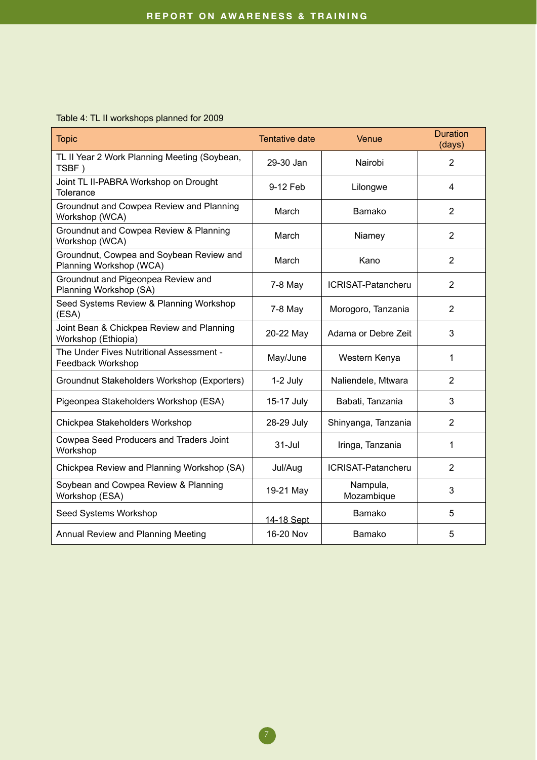#### Table 4: TL II workshops planned for 2009

| <b>Topic</b>                                                        | Tentative date | Venue                     | <b>Duration</b><br>(days) |
|---------------------------------------------------------------------|----------------|---------------------------|---------------------------|
| TL II Year 2 Work Planning Meeting (Soybean,<br>TSBF)               | 29-30 Jan      | Nairobi                   | $\overline{2}$            |
| Joint TL II-PABRA Workshop on Drought<br>Tolerance                  | 9-12 Feb       | Lilongwe                  | $\overline{4}$            |
| Groundnut and Cowpea Review and Planning<br>Workshop (WCA)          | March          | Bamako                    | 2                         |
| Groundnut and Cowpea Review & Planning<br>Workshop (WCA)            | March          | Niamey                    | $\overline{2}$            |
| Groundnut, Cowpea and Soybean Review and<br>Planning Workshop (WCA) | March          | Kano                      | $\overline{2}$            |
| Groundnut and Pigeonpea Review and<br>Planning Workshop (SA)        | $7-8$ May      | <b>ICRISAT-Patancheru</b> | $\overline{2}$            |
| Seed Systems Review & Planning Workshop<br>(ESA)                    | $7-8$ May      | Morogoro, Tanzania        | $\overline{2}$            |
| Joint Bean & Chickpea Review and Planning<br>Workshop (Ethiopia)    | 20-22 May      | Adama or Debre Zeit       | 3                         |
| The Under Fives Nutritional Assessment -<br>Feedback Workshop       | May/June       | Western Kenya             | 1                         |
| Groundnut Stakeholders Workshop (Exporters)                         | 1-2 July       | Naliendele, Mtwara        | 2                         |
| Pigeonpea Stakeholders Workshop (ESA)                               | 15-17 July     | Babati, Tanzania          | 3                         |
| Chickpea Stakeholders Workshop                                      | 28-29 July     | Shinyanga, Tanzania       | $\overline{2}$            |
| Cowpea Seed Producers and Traders Joint<br>Workshop                 | $31 -$ Jul     | Iringa, Tanzania          | 1                         |
| Chickpea Review and Planning Workshop (SA)                          | Jul/Aug        | ICRISAT-Patancheru        | $\overline{2}$            |
| Soybean and Cowpea Review & Planning<br>Workshop (ESA)              | 19-21 May      | Nampula,<br>Mozambique    | 3                         |
| Seed Systems Workshop                                               | 14-18 Sept     | Bamako                    | 5                         |
| Annual Review and Planning Meeting                                  | 16-20 Nov      | Bamako                    | 5                         |